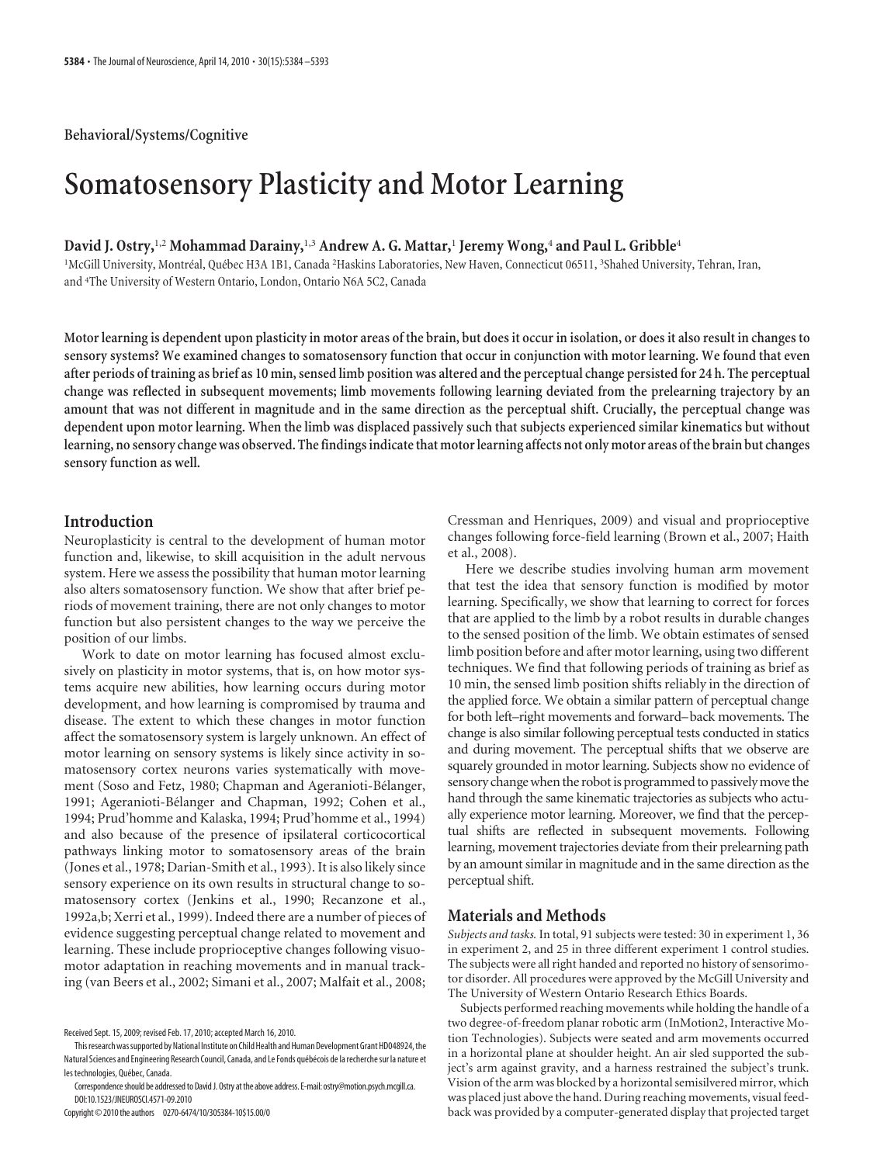**Behavioral/Systems/Cognitive**

# **Somatosensory Plasticity and Motor Learning**

**David J. Ostry,**1,2 **Mohammad Darainy,**1,3 **Andrew A. G. Mattar,**<sup>1</sup> **Jeremy Wong,**<sup>4</sup> **and Paul L. Gribble**<sup>4</sup>

<sup>1</sup>McGill University, Montréal, Québec H3A 1B1, Canada <sup>2</sup>Haskins Laboratories, New Haven, Connecticut 06511, <sup>3</sup>Shahed University, Tehran, Iran, and <sup>4</sup> The University of Western Ontario, London, Ontario N6A 5C2, Canada

**Motor learning is dependent upon plasticity in motor areas of the brain, but does it occur in isolation, or does it also result in changes to sensory systems? We examined changes to somatosensory function that occur in conjunction with motor learning. We found that even after periods of training as brief as 10 min, sensed limb position was altered and the perceptual change persisted for 24 h. The perceptual change was reflected in subsequent movements; limb movements following learning deviated from the prelearning trajectory by an amount that was not different in magnitude and in the same direction as the perceptual shift. Crucially, the perceptual change was dependent upon motor learning. When the limb was displaced passively such that subjects experienced similar kinematics but without learning, no sensory change was observed. Thefindings indicatethat motor learning affects not only motor areas ofthe brain but changes sensory function as well.**

# **Introduction**

Neuroplasticity is central to the development of human motor function and, likewise, to skill acquisition in the adult nervous system. Here we assess the possibility that human motor learning also alters somatosensory function. We show that after brief periods of movement training, there are not only changes to motor function but also persistent changes to the way we perceive the position of our limbs.

Work to date on motor learning has focused almost exclusively on plasticity in motor systems, that is, on how motor systems acquire new abilities, how learning occurs during motor development, and how learning is compromised by trauma and disease. The extent to which these changes in motor function affect the somatosensory system is largely unknown. An effect of motor learning on sensory systems is likely since activity in somatosensory cortex neurons varies systematically with movement (Soso and Fetz, 1980; Chapman and Ageranioti-Bélanger, 1991; Ageranioti-Bélanger and Chapman, 1992; Cohen et al., 1994; Prud'homme and Kalaska, 1994; Prud'homme et al., 1994) and also because of the presence of ipsilateral corticocortical pathways linking motor to somatosensory areas of the brain (Jones et al., 1978; Darian-Smith et al., 1993). It is also likely since sensory experience on its own results in structural change to somatosensory cortex (Jenkins et al., 1990; Recanzone et al., 1992a,b; Xerri et al., 1999). Indeed there are a number of pieces of evidence suggesting perceptual change related to movement and learning. These include proprioceptive changes following visuomotor adaptation in reaching movements and in manual tracking (van Beers et al., 2002; Simani et al., 2007; Malfait et al., 2008;

Copyright © 2010 the authors 0270-6474/10/305384-10\$15.00/0

Cressman and Henriques, 2009) and visual and proprioceptive changes following force-field learning (Brown et al., 2007; Haith et al., 2008).

Here we describe studies involving human arm movement that test the idea that sensory function is modified by motor learning. Specifically, we show that learning to correct for forces that are applied to the limb by a robot results in durable changes to the sensed position of the limb. We obtain estimates of sensed limb position before and after motor learning, using two different techniques. We find that following periods of training as brief as 10 min, the sensed limb position shifts reliably in the direction of the applied force. We obtain a similar pattern of perceptual change for both left–right movements and forward–back movements. The change is also similar following perceptual tests conducted in statics and during movement. The perceptual shifts that we observe are squarely grounded in motor learning. Subjects show no evidence of sensory change when the robot is programmed to passively move the hand through the same kinematic trajectories as subjects who actually experience motor learning. Moreover, we find that the perceptual shifts are reflected in subsequent movements. Following learning, movement trajectories deviate from their prelearning path by an amount similar in magnitude and in the same direction as the perceptual shift.

## **Materials and Methods**

*Subjects and tasks.* In total, 91 subjects were tested: 30 in experiment 1, 36 in experiment 2, and 25 in three different experiment 1 control studies. The subjects were all right handed and reported no history of sensorimotor disorder. All procedures were approved by the McGill University and The University of Western Ontario Research Ethics Boards.

Subjects performed reaching movements while holding the handle of a two degree-of-freedom planar robotic arm (InMotion2, Interactive Motion Technologies). Subjects were seated and arm movements occurred in a horizontal plane at shoulder height. An air sled supported the subject's arm against gravity, and a harness restrained the subject's trunk. Vision of the arm was blocked by a horizontal semisilvered mirror, which was placed just above the hand. During reaching movements, visual feedback was provided by a computer-generated display that projected target

Received Sept. 15, 2009; revised Feb. 17, 2010; accepted March 16, 2010.

This research was supported by National Institute on Child Health and Human Development Grant HD048924, the Natural Sciences and Engineering Research Council, Canada, and Le Fonds québécois de la recherche sur la nature et les technologies, Québec, Canada.

Correspondence should be addressed to David J. Ostry at the above address. E-mail: ostry@motion.psych.mcgill.ca. DOI:10.1523/JNEUROSCI.4571-09.2010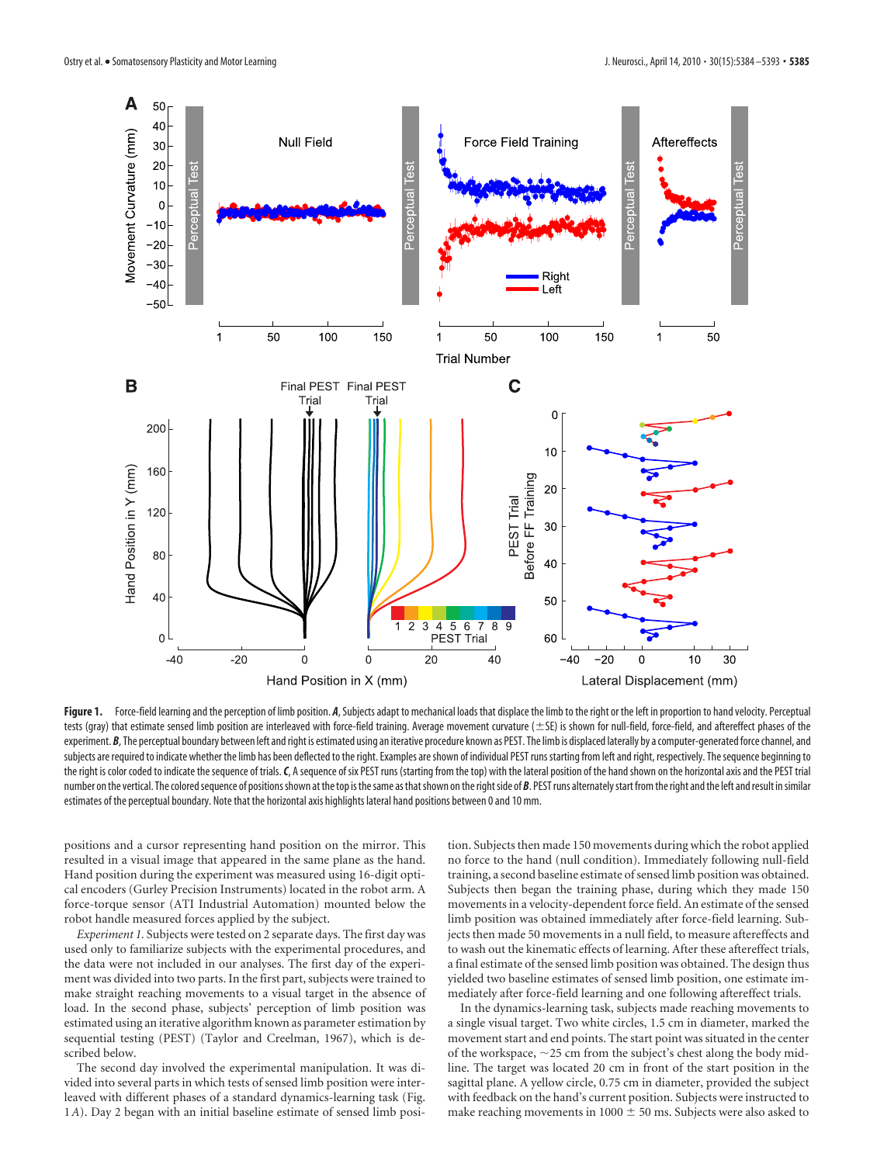

Figure 1. Force-field learning and the perception of limb position. *A*, Subjects adapt to mechanical loads that displace the limb to the right or the left in proportion to hand velocity. Perceptual tests (gray) that estimate sensed limb position are interleaved with force-field training. Average movement curvature ( $\pm$ SE) is shown for null-field, force-field, and aftereffect phases of the experiment. *B*. The perceptual boundary between left and right is estimated using an iterative procedure known as PEST. The limb is displaced laterally by a computer-generated force channel, and subjects are required to indicate whether the limb has been deflected to the right. Examples are shown of individual PEST runs starting from left and right, respectively. The sequence beginning to the right is color coded to indicate the sequence of trials. C, A sequence of six PEST runs (starting from the top) with the lateral position of the hand shown on the horizontal axis and the PEST trial number on the vertical. The colored sequence of positions shown at the top is the same as that shown on the right side of *B*. PEST runs alternately start from the right and the left and result in similar estimates of the perceptual boundary. Note that the horizontal axis highlights lateral hand positions between 0 and 10 mm.

positions and a cursor representing hand position on the mirror. This resulted in a visual image that appeared in the same plane as the hand. Hand position during the experiment was measured using 16-digit optical encoders (Gurley Precision Instruments) located in the robot arm. A force-torque sensor (ATI Industrial Automation) mounted below the robot handle measured forces applied by the subject.

*Experiment 1.* Subjects were tested on 2 separate days. The first day was used only to familiarize subjects with the experimental procedures, and the data were not included in our analyses. The first day of the experiment was divided into two parts. In the first part, subjects were trained to make straight reaching movements to a visual target in the absence of load. In the second phase, subjects' perception of limb position was estimated using an iterative algorithm known as parameter estimation by sequential testing (PEST) (Taylor and Creelman, 1967), which is described below.

The second day involved the experimental manipulation. It was divided into several parts in which tests of sensed limb position were interleaved with different phases of a standard dynamics-learning task (Fig. 1*A*). Day 2 began with an initial baseline estimate of sensed limb position. Subjects then made 150 movements during which the robot applied no force to the hand (null condition). Immediately following null-field training, a second baseline estimate of sensed limb position was obtained. Subjects then began the training phase, during which they made 150 movements in a velocity-dependent force field. An estimate of the sensed limb position was obtained immediately after force-field learning. Subjects then made 50 movements in a null field, to measure aftereffects and to wash out the kinematic effects of learning. After these aftereffect trials, a final estimate of the sensed limb position was obtained. The design thus yielded two baseline estimates of sensed limb position, one estimate immediately after force-field learning and one following aftereffect trials.

In the dynamics-learning task, subjects made reaching movements to a single visual target. Two white circles, 1.5 cm in diameter, marked the movement start and end points. The start point was situated in the center of the workspace,  $\sim$  25 cm from the subject's chest along the body midline. The target was located 20 cm in front of the start position in the sagittal plane. A yellow circle, 0.75 cm in diameter, provided the subject with feedback on the hand's current position. Subjects were instructed to make reaching movements in  $1000 \pm 50$  ms. Subjects were also asked to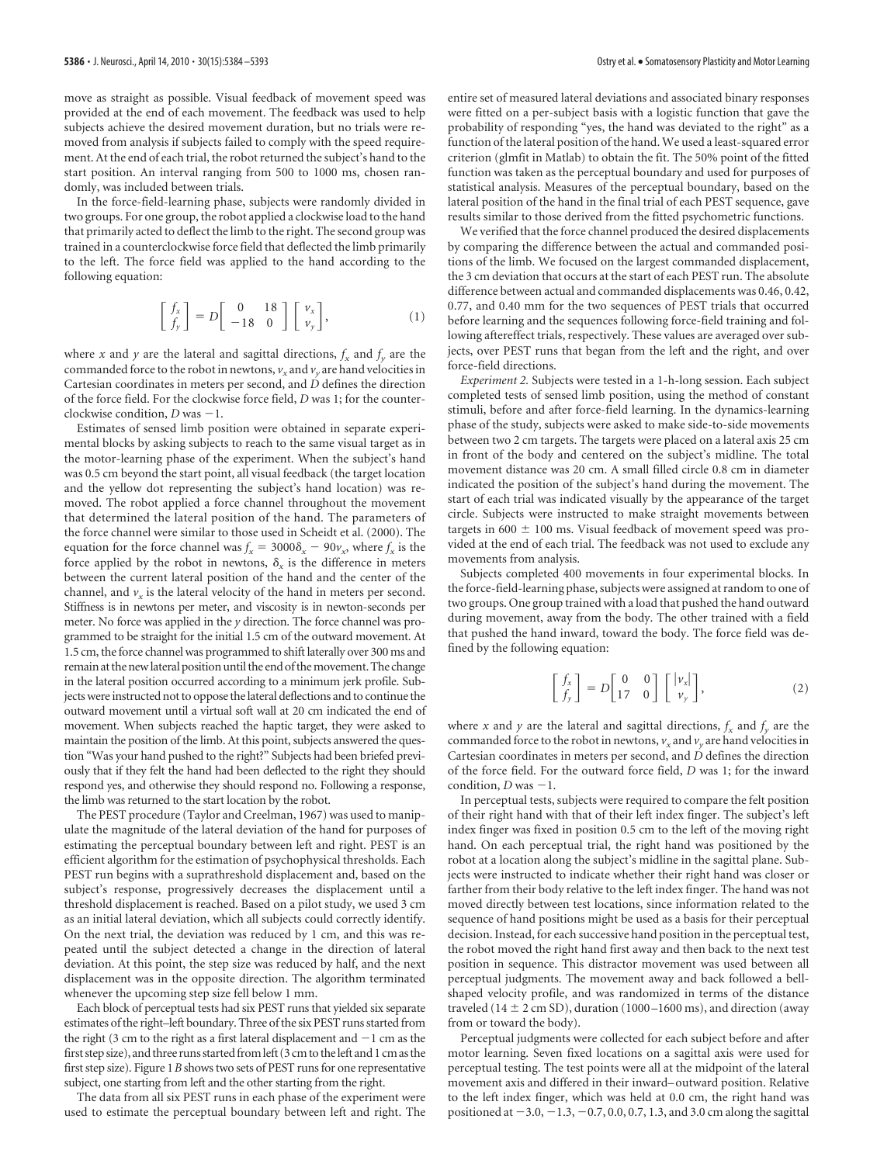move as straight as possible. Visual feedback of movement speed was provided at the end of each movement. The feedback was used to help subjects achieve the desired movement duration, but no trials were removed from analysis if subjects failed to comply with the speed requirement. At the end of each trial, the robot returned the subject's hand to the start position. An interval ranging from 500 to 1000 ms, chosen randomly, was included between trials.

In the force-field-learning phase, subjects were randomly divided in two groups. For one group, the robot applied a clockwise load to the hand that primarily acted to deflect the limb to the right. The second group was trained in a counterclockwise force field that deflected the limb primarily to the left. The force field was applied to the hand according to the following equation:

$$
\begin{bmatrix} f_x \\ f_y \end{bmatrix} = D \begin{bmatrix} 0 & 18 \\ -18 & 0 \end{bmatrix} \begin{bmatrix} v_x \\ v_y \end{bmatrix}, \tag{1}
$$

where *x* and *y* are the lateral and sagittal directions,  $f_x$  and  $f_y$  are the commanded force to the robot in newtons,  $v_x$  and  $v_y$  are hand velocities in Cartesian coordinates in meters per second, and *D* defines the direction of the force field. For the clockwise force field, *D* was 1; for the counterclockwise condition,  $D$  was  $-1$ .

Estimates of sensed limb position were obtained in separate experimental blocks by asking subjects to reach to the same visual target as in the motor-learning phase of the experiment. When the subject's hand was 0.5 cm beyond the start point, all visual feedback (the target location and the yellow dot representing the subject's hand location) was removed. The robot applied a force channel throughout the movement that determined the lateral position of the hand. The parameters of the force channel were similar to those used in Scheidt et al. (2000). The equation for the force channel was  $f_x = 3000\delta_x - 90v_x$ , where  $f_x$  is the force applied by the robot in newtons,  $\delta_{\nu}$  is the difference in meters between the current lateral position of the hand and the center of the channel, and  $v_r$  is the lateral velocity of the hand in meters per second. Stiffness is in newtons per meter, and viscosity is in newton-seconds per meter. No force was applied in the *y* direction. The force channel was programmed to be straight for the initial 1.5 cm of the outward movement. At 1.5 cm, the force channel was programmed to shift laterally over 300 ms and remain at the newlateral position until the end of themovement. The change in the lateral position occurred according to a minimum jerk profile. Subjects were instructed not to oppose the lateral deflections and to continue the outward movement until a virtual soft wall at 20 cm indicated the end of movement. When subjects reached the haptic target, they were asked to maintain the position of the limb. At this point, subjects answered the question "Was your hand pushed to the right?" Subjects had been briefed previously that if they felt the hand had been deflected to the right they should respond yes, and otherwise they should respond no. Following a response, the limb was returned to the start location by the robot.

The PEST procedure (Taylor and Creelman, 1967) was used to manipulate the magnitude of the lateral deviation of the hand for purposes of estimating the perceptual boundary between left and right. PEST is an efficient algorithm for the estimation of psychophysical thresholds. Each PEST run begins with a suprathreshold displacement and, based on the subject's response, progressively decreases the displacement until a threshold displacement is reached. Based on a pilot study, we used 3 cm as an initial lateral deviation, which all subjects could correctly identify. On the next trial, the deviation was reduced by 1 cm, and this was repeated until the subject detected a change in the direction of lateral deviation. At this point, the step size was reduced by half, and the next displacement was in the opposite direction. The algorithm terminated whenever the upcoming step size fell below 1 mm.

Each block of perceptual tests had six PEST runs that yielded six separate estimates of the right–left boundary. Three of the six PEST runs started from the right (3 cm to the right as a first lateral displacement and  $-1$  cm as the first step size), and three runs started from left (3 cm to the left and 1 cm as the first step size). Figure 1*B* shows two sets of PEST runs for one representative subject, one starting from left and the other starting from the right.

The data from all six PEST runs in each phase of the experiment were used to estimate the perceptual boundary between left and right. The entire set of measured lateral deviations and associated binary responses were fitted on a per-subject basis with a logistic function that gave the probability of responding "yes, the hand was deviated to the right" as a function of the lateral position of the hand. We used a least-squared error criterion (glmfit in Matlab) to obtain the fit. The 50% point of the fitted function was taken as the perceptual boundary and used for purposes of statistical analysis. Measures of the perceptual boundary, based on the lateral position of the hand in the final trial of each PEST sequence, gave results similar to those derived from the fitted psychometric functions.

We verified that the force channel produced the desired displacements by comparing the difference between the actual and commanded positions of the limb. We focused on the largest commanded displacement, the 3 cm deviation that occurs at the start of each PEST run. The absolute difference between actual and commanded displacements was 0.46, 0.42, 0.77, and 0.40 mm for the two sequences of PEST trials that occurred before learning and the sequences following force-field training and following aftereffect trials, respectively. These values are averaged over subjects, over PEST runs that began from the left and the right, and over force-field directions.

*Experiment 2.* Subjects were tested in a 1-h-long session. Each subject completed tests of sensed limb position, using the method of constant stimuli, before and after force-field learning. In the dynamics-learning phase of the study, subjects were asked to make side-to-side movements between two 2 cm targets. The targets were placed on a lateral axis 25 cm in front of the body and centered on the subject's midline. The total movement distance was 20 cm. A small filled circle 0.8 cm in diameter indicated the position of the subject's hand during the movement. The start of each trial was indicated visually by the appearance of the target circle. Subjects were instructed to make straight movements between targets in 600  $\pm$  100 ms. Visual feedback of movement speed was provided at the end of each trial. The feedback was not used to exclude any movements from analysis.

Subjects completed 400 movements in four experimental blocks. In the force-field-learning phase, subjects were assigned at random to one of two groups. One group trained with a load that pushed the hand outward during movement, away from the body. The other trained with a field that pushed the hand inward, toward the body. The force field was defined by the following equation:

$$
\begin{bmatrix} f_x \\ f_y \end{bmatrix} = D \begin{bmatrix} 0 & 0 \\ 17 & 0 \end{bmatrix} \begin{bmatrix} |v_x| \\ v_y \end{bmatrix}, \tag{2}
$$

where *x* and *y* are the lateral and sagittal directions,  $f_x$  and  $f_y$  are the commanded force to the robot in newtons,  $v_{\nu}$  and  $v_{\nu}$  are hand velocities in Cartesian coordinates in meters per second, and *D* defines the direction of the force field. For the outward force field, *D* was 1; for the inward condition,  $D$  was  $-1$ .

In perceptual tests, subjects were required to compare the felt position of their right hand with that of their left index finger. The subject's left index finger was fixed in position 0.5 cm to the left of the moving right hand. On each perceptual trial, the right hand was positioned by the robot at a location along the subject's midline in the sagittal plane. Subjects were instructed to indicate whether their right hand was closer or farther from their body relative to the left index finger. The hand was not moved directly between test locations, since information related to the sequence of hand positions might be used as a basis for their perceptual decision. Instead, for each successive hand position in the perceptual test, the robot moved the right hand first away and then back to the next test position in sequence. This distractor movement was used between all perceptual judgments. The movement away and back followed a bellshaped velocity profile, and was randomized in terms of the distance traveled (14  $\pm$  2 cm SD), duration (1000–1600 ms), and direction (away from or toward the body).

Perceptual judgments were collected for each subject before and after motor learning. Seven fixed locations on a sagittal axis were used for perceptual testing. The test points were all at the midpoint of the lateral movement axis and differed in their inward– outward position. Relative to the left index finger, which was held at 0.0 cm, the right hand was positioned at  $-3.0, -1.3, -0.7, 0.0, 0.7, 1.3,$  and 3.0 cm along the sagittal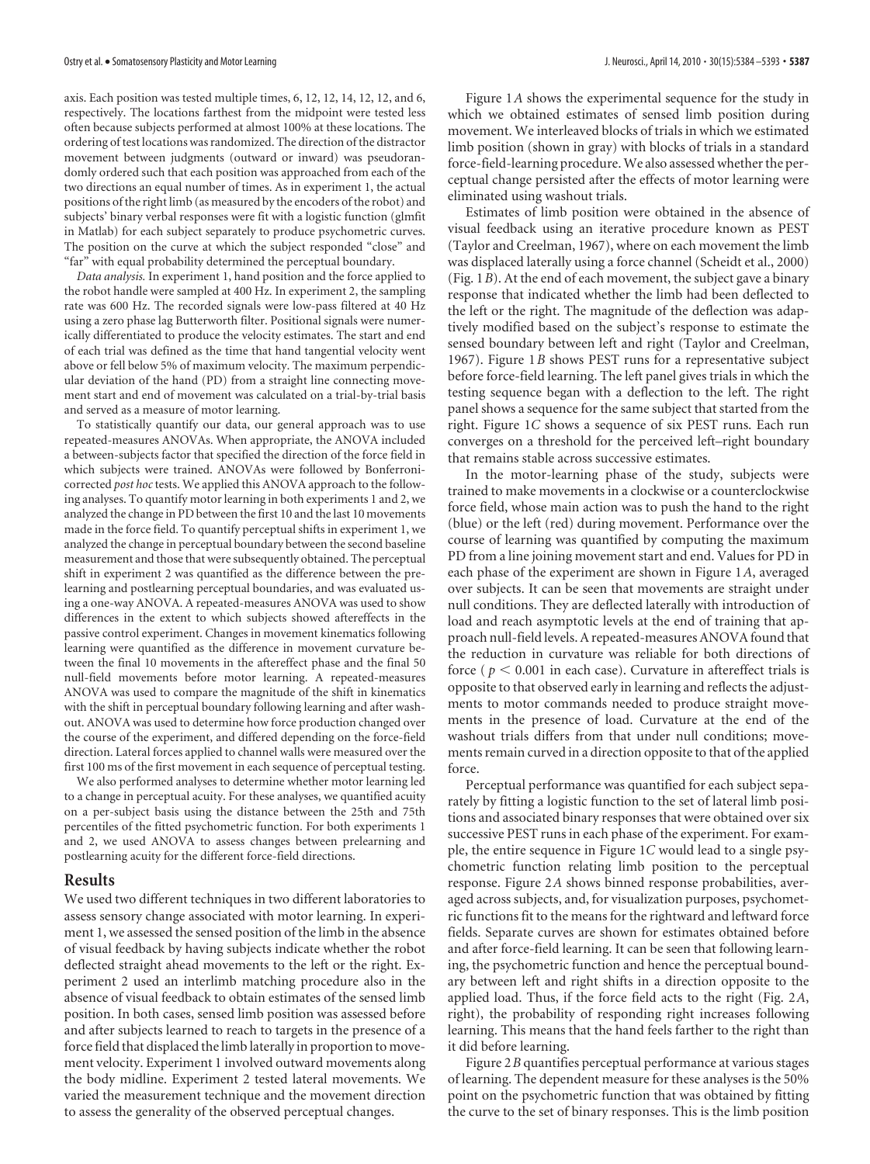axis. Each position was tested multiple times, 6, 12, 12, 14, 12, 12, and 6, respectively. The locations farthest from the midpoint were tested less often because subjects performed at almost 100% at these locations. The ordering of test locations was randomized. The direction of the distractor movement between judgments (outward or inward) was pseudorandomly ordered such that each position was approached from each of the two directions an equal number of times. As in experiment 1, the actual positions of the right limb (as measured by the encoders of the robot) and subjects' binary verbal responses were fit with a logistic function (glmfit in Matlab) for each subject separately to produce psychometric curves. The position on the curve at which the subject responded "close" and "far" with equal probability determined the perceptual boundary.

*Data analysis.* In experiment 1, hand position and the force applied to the robot handle were sampled at 400 Hz. In experiment 2, the sampling rate was 600 Hz. The recorded signals were low-pass filtered at 40 Hz using a zero phase lag Butterworth filter. Positional signals were numerically differentiated to produce the velocity estimates. The start and end of each trial was defined as the time that hand tangential velocity went above or fell below 5% of maximum velocity. The maximum perpendicular deviation of the hand (PD) from a straight line connecting movement start and end of movement was calculated on a trial-by-trial basis and served as a measure of motor learning.

To statistically quantify our data, our general approach was to use repeated-measures ANOVAs. When appropriate, the ANOVA included a between-subjects factor that specified the direction of the force field in which subjects were trained. ANOVAs were followed by Bonferronicorrected *post hoc* tests. We applied this ANOVA approach to the following analyses. To quantify motor learning in both experiments 1 and 2, we analyzed the change in PD between the first 10 and the last 10 movements made in the force field. To quantify perceptual shifts in experiment 1, we analyzed the change in perceptual boundary between the second baseline measurement and those that were subsequently obtained. The perceptual shift in experiment 2 was quantified as the difference between the prelearning and postlearning perceptual boundaries, and was evaluated using a one-way ANOVA. A repeated-measures ANOVA was used to show differences in the extent to which subjects showed aftereffects in the passive control experiment. Changes in movement kinematics following learning were quantified as the difference in movement curvature between the final 10 movements in the aftereffect phase and the final 50 null-field movements before motor learning. A repeated-measures ANOVA was used to compare the magnitude of the shift in kinematics with the shift in perceptual boundary following learning and after washout. ANOVA was used to determine how force production changed over the course of the experiment, and differed depending on the force-field direction. Lateral forces applied to channel walls were measured over the first 100 ms of the first movement in each sequence of perceptual testing.

We also performed analyses to determine whether motor learning led to a change in perceptual acuity. For these analyses, we quantified acuity on a per-subject basis using the distance between the 25th and 75th percentiles of the fitted psychometric function. For both experiments 1 and 2, we used ANOVA to assess changes between prelearning and postlearning acuity for the different force-field directions.

#### **Results**

We used two different techniques in two different laboratories to assess sensory change associated with motor learning. In experiment 1, we assessed the sensed position of the limb in the absence of visual feedback by having subjects indicate whether the robot deflected straight ahead movements to the left or the right. Experiment 2 used an interlimb matching procedure also in the absence of visual feedback to obtain estimates of the sensed limb position. In both cases, sensed limb position was assessed before and after subjects learned to reach to targets in the presence of a force field that displaced the limb laterally in proportion to movement velocity. Experiment 1 involved outward movements along the body midline. Experiment 2 tested lateral movements. We varied the measurement technique and the movement direction to assess the generality of the observed perceptual changes.

Figure 1*A* shows the experimental sequence for the study in which we obtained estimates of sensed limb position during movement. We interleaved blocks of trials in which we estimated limb position (shown in gray) with blocks of trials in a standard force-field-learning procedure.We also assessed whether the perceptual change persisted after the effects of motor learning were eliminated using washout trials.

Estimates of limb position were obtained in the absence of visual feedback using an iterative procedure known as PEST (Taylor and Creelman, 1967), where on each movement the limb was displaced laterally using a force channel (Scheidt et al., 2000) (Fig. 1*B*). At the end of each movement, the subject gave a binary response that indicated whether the limb had been deflected to the left or the right. The magnitude of the deflection was adaptively modified based on the subject's response to estimate the sensed boundary between left and right (Taylor and Creelman, 1967). Figure 1*B* shows PEST runs for a representative subject before force-field learning. The left panel gives trials in which the testing sequence began with a deflection to the left. The right panel shows a sequence for the same subject that started from the right. Figure 1*C* shows a sequence of six PEST runs. Each run converges on a threshold for the perceived left–right boundary that remains stable across successive estimates.

In the motor-learning phase of the study, subjects were trained to make movements in a clockwise or a counterclockwise force field, whose main action was to push the hand to the right (blue) or the left (red) during movement. Performance over the course of learning was quantified by computing the maximum PD from a line joining movement start and end. Values for PD in each phase of the experiment are shown in Figure 1*A*, averaged over subjects. It can be seen that movements are straight under null conditions. They are deflected laterally with introduction of load and reach asymptotic levels at the end of training that approach null-field levels. A repeated-measures ANOVA found that the reduction in curvature was reliable for both directions of force ( $p < 0.001$  in each case). Curvature in aftereffect trials is opposite to that observed early in learning and reflects the adjustments to motor commands needed to produce straight movements in the presence of load. Curvature at the end of the washout trials differs from that under null conditions; movements remain curved in a direction opposite to that of the applied force.

Perceptual performance was quantified for each subject separately by fitting a logistic function to the set of lateral limb positions and associated binary responses that were obtained over six successive PEST runs in each phase of the experiment. For example, the entire sequence in Figure 1*C* would lead to a single psychometric function relating limb position to the perceptual response. Figure 2*A* shows binned response probabilities, averaged across subjects, and, for visualization purposes, psychometric functions fit to the means for the rightward and leftward force fields. Separate curves are shown for estimates obtained before and after force-field learning. It can be seen that following learning, the psychometric function and hence the perceptual boundary between left and right shifts in a direction opposite to the applied load. Thus, if the force field acts to the right (Fig. 2*A*, right), the probability of responding right increases following learning. This means that the hand feels farther to the right than it did before learning.

Figure 2*B* quantifies perceptual performance at various stages of learning. The dependent measure for these analyses is the 50% point on the psychometric function that was obtained by fitting the curve to the set of binary responses. This is the limb position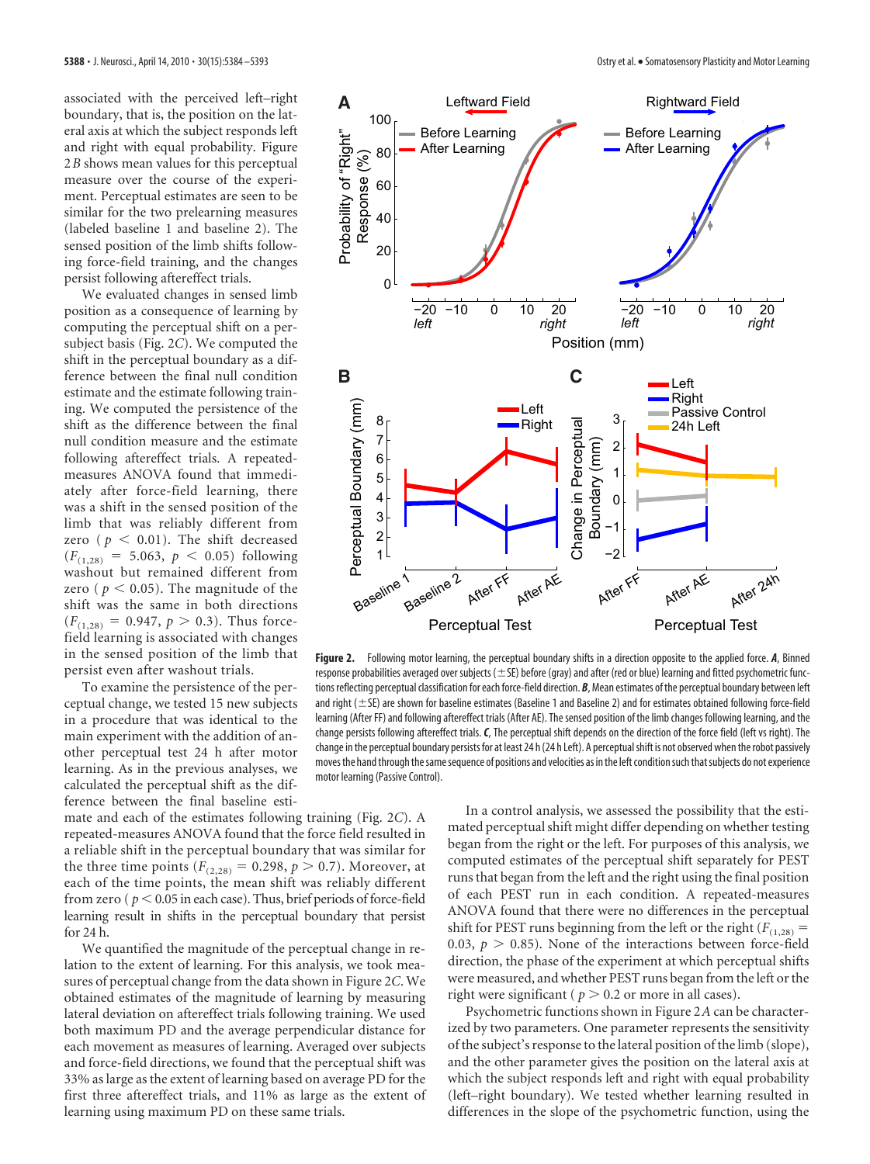associated with the perceived left–right boundary, that is, the position on the lateral axis at which the subject responds left and right with equal probability. Figure 2*B* shows mean values for this perceptual measure over the course of the experiment. Perceptual estimates are seen to be similar for the two prelearning measures (labeled baseline 1 and baseline 2). The sensed position of the limb shifts following force-field training, and the changes persist following aftereffect trials.

We evaluated changes in sensed limb position as a consequence of learning by computing the perceptual shift on a persubject basis (Fig. 2*C*). We computed the shift in the perceptual boundary as a difference between the final null condition estimate and the estimate following training. We computed the persistence of the shift as the difference between the final null condition measure and the estimate following aftereffect trials. A repeatedmeasures ANOVA found that immediately after force-field learning, there was a shift in the sensed position of the limb that was reliably different from zero ( $p < 0.01$ ). The shift decreased  $(F_{(1,28)} = 5.063, p < 0.05)$  following washout but remained different from zero ( $p < 0.05$ ). The magnitude of the shift was the same in both directions  $(F_{(1,28)} = 0.947, p > 0.3)$ . Thus forcefield learning is associated with changes in the sensed position of the limb that persist even after washout trials.

To examine the persistence of the perceptual change, we tested 15 new subjects in a procedure that was identical to the main experiment with the addition of another perceptual test 24 h after motor learning. As in the previous analyses, we calculated the perceptual shift as the difference between the final baseline esti-

mate and each of the estimates following training (Fig. 2*C*). A repeated-measures ANOVA found that the force field resulted in a reliable shift in the perceptual boundary that was similar for the three time points ( $F_{(2,28)} = 0.298$ ,  $p > 0.7$ ). Moreover, at each of the time points, the mean shift was reliably different from zero ( $p < 0.05$  in each case). Thus, brief periods of force-field learning result in shifts in the perceptual boundary that persist for 24 h.

We quantified the magnitude of the perceptual change in relation to the extent of learning. For this analysis, we took measures of perceptual change from the data shown in Figure 2*C*. We obtained estimates of the magnitude of learning by measuring lateral deviation on aftereffect trials following training. We used both maximum PD and the average perpendicular distance for each movement as measures of learning. Averaged over subjects and force-field directions, we found that the perceptual shift was 33% as large as the extent of learning based on average PD for the first three aftereffect trials, and 11% as large as the extent of learning using maximum PD on these same trials.

In a control analysis, we assessed the possibility that the estimated perceptual shift might differ depending on whether testing began from the right or the left. For purposes of this analysis, we computed estimates of the perceptual shift separately for PEST runs that began from the left and the right using the final position change persists following aftereffect trials.*C*, The perceptual shift depends on the direction of the force field (left vs right). The change in the perceptual boundary persists for at least 24 h (24 h Left). A perceptualshift is not observed when the robot passively moves the hand through the same sequence of positions and velocities as in the left condition such that subjects do not experience motor learning (Passive Control).

of each PEST run in each condition. A repeated-measures ANOVA found that there were no differences in the perceptual shift for PEST runs beginning from the left or the right  $(F_{(1,28)} =$ 0.03,  $p > 0.85$ ). None of the interactions between force-field direction, the phase of the experiment at which perceptual shifts were measured, and whether PEST runs began from the left or the right were significant ( $p > 0.2$  or more in all cases).

Psychometric functions shown in Figure 2*A* can be characterized by two parameters. One parameter represents the sensitivity of the subject's response to the lateral position of the limb (slope), and the other parameter gives the position on the lateral axis at which the subject responds left and right with equal probability (left–right boundary). We tested whether learning resulted in differences in the slope of the psychometric function, using the



response probabilities averaged over subjects ( $\pm$  SE) before (gray) and after (red or blue) learning and fitted psychometric functions reflecting perceptual classification for each force-field direction. *B*, Mean estimates of the perceptual boundary between left and right ( $\pm$ SE) are shown for baseline estimates (Baseline 1 and Baseline 2) and for estimates obtained following force-field learning (After FF) and following aftereffect trials (After AE). The sensed position of the limb changes following learning, and the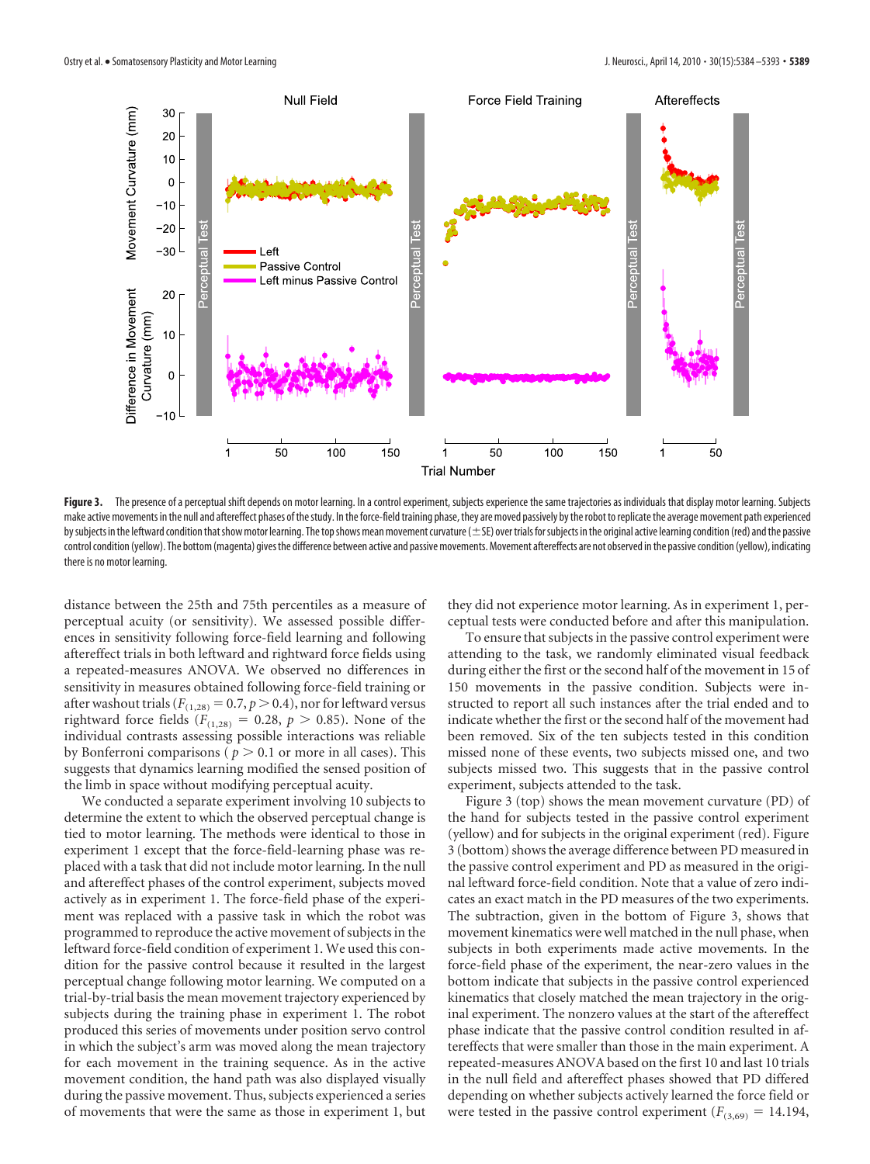

Figure 3. The presence of a perceptual shift depends on motor learning. In a control experiment, subjects experience the same trajectories as individuals that display motor learning. Subjects make active movements in the null and aftereffect phases of the study. In the force-field training phase, they are moved passively by the robot to replicate the average movement path experienced by subjects in the leftward condition that show motor learning. The top shows mean movement curvature ( $\pm$  SE) over trials for subjects in the original active learning condition (red) and the passive control condition(yellow). The bottom(magenta) givesthe difference between active and passivemovements. Movement aftereffects are not observed inthe passive condition(yellow), indicating there is no motor learning.

distance between the 25th and 75th percentiles as a measure of perceptual acuity (or sensitivity). We assessed possible differences in sensitivity following force-field learning and following aftereffect trials in both leftward and rightward force fields using a repeated-measures ANOVA. We observed no differences in sensitivity in measures obtained following force-field training or after washout trials ( $F_{(1,28)} = 0.7, p \ge 0.4$ ), nor for leftward versus rightward force fields ( $F_{(1,28)} = 0.28$ ,  $p > 0.85$ ). None of the individual contrasts assessing possible interactions was reliable by Bonferroni comparisons ( $p > 0.1$  or more in all cases). This suggests that dynamics learning modified the sensed position of the limb in space without modifying perceptual acuity.

We conducted a separate experiment involving 10 subjects to determine the extent to which the observed perceptual change is tied to motor learning. The methods were identical to those in experiment 1 except that the force-field-learning phase was replaced with a task that did not include motor learning. In the null and aftereffect phases of the control experiment, subjects moved actively as in experiment 1. The force-field phase of the experiment was replaced with a passive task in which the robot was programmed to reproduce the active movement of subjects in the leftward force-field condition of experiment 1. We used this condition for the passive control because it resulted in the largest perceptual change following motor learning. We computed on a trial-by-trial basis the mean movement trajectory experienced by subjects during the training phase in experiment 1. The robot produced this series of movements under position servo control in which the subject's arm was moved along the mean trajectory for each movement in the training sequence. As in the active movement condition, the hand path was also displayed visually during the passive movement. Thus, subjects experienced a series of movements that were the same as those in experiment 1, but

they did not experience motor learning. As in experiment 1, perceptual tests were conducted before and after this manipulation.

To ensure that subjects in the passive control experiment were attending to the task, we randomly eliminated visual feedback during either the first or the second half of the movement in 15 of 150 movements in the passive condition. Subjects were instructed to report all such instances after the trial ended and to indicate whether the first or the second half of the movement had been removed. Six of the ten subjects tested in this condition missed none of these events, two subjects missed one, and two subjects missed two. This suggests that in the passive control experiment, subjects attended to the task.

Figure 3 (top) shows the mean movement curvature (PD) of the hand for subjects tested in the passive control experiment (yellow) and for subjects in the original experiment (red). Figure 3 (bottom) shows the average difference between PD measured in the passive control experiment and PD as measured in the original leftward force-field condition. Note that a value of zero indicates an exact match in the PD measures of the two experiments. The subtraction, given in the bottom of Figure 3, shows that movement kinematics were well matched in the null phase, when subjects in both experiments made active movements. In the force-field phase of the experiment, the near-zero values in the bottom indicate that subjects in the passive control experienced kinematics that closely matched the mean trajectory in the original experiment. The nonzero values at the start of the aftereffect phase indicate that the passive control condition resulted in aftereffects that were smaller than those in the main experiment. A repeated-measures ANOVA based on the first 10 and last 10 trials in the null field and aftereffect phases showed that PD differed depending on whether subjects actively learned the force field or were tested in the passive control experiment  $(F_{(3,69)} = 14.194$ ,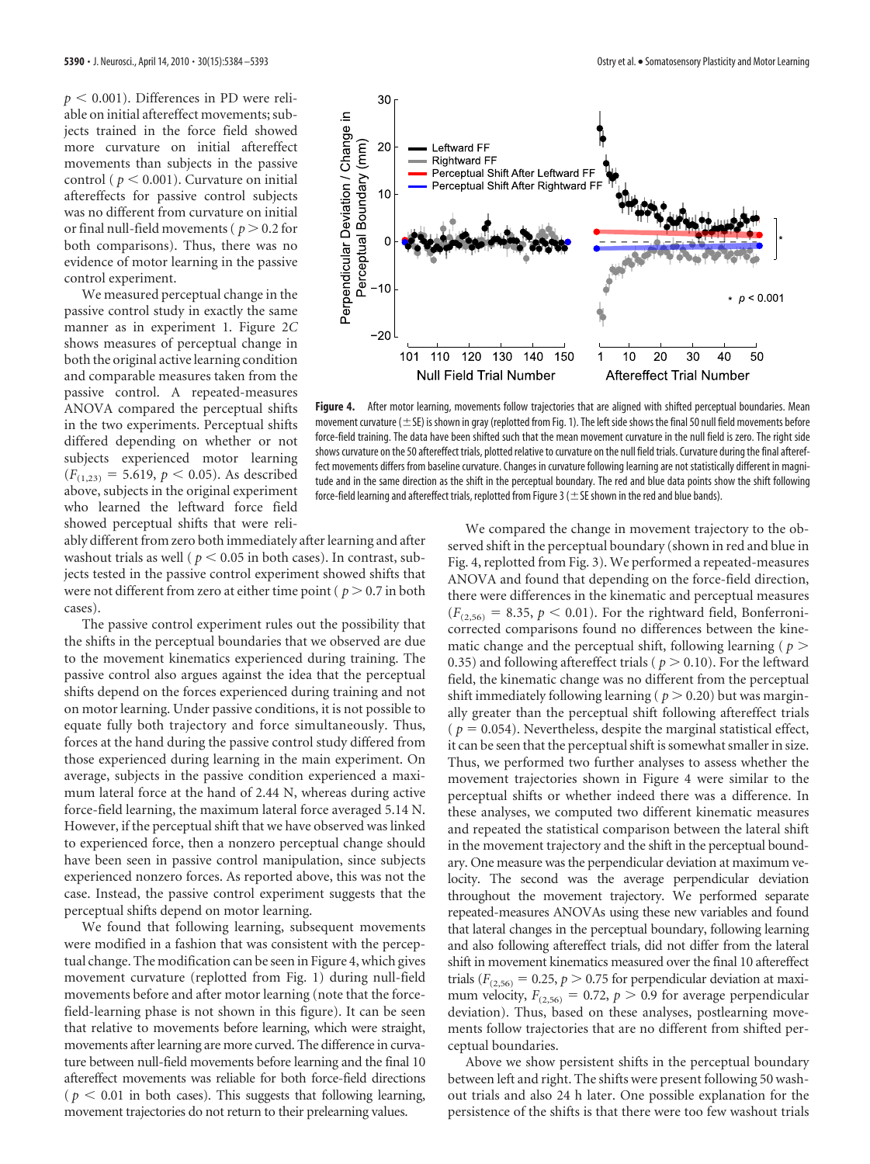$p < 0.001$ ). Differences in PD were reliable on initial aftereffect movements; subjects trained in the force field showed more curvature on initial aftereffect movements than subjects in the passive control ( $p < 0.001$ ). Curvature on initial aftereffects for passive control subjects was no different from curvature on initial or final null-field movements ( $p > 0.2$  for both comparisons). Thus, there was no evidence of motor learning in the passive control experiment.

We measured perceptual change in the passive control study in exactly the same manner as in experiment 1. Figure 2*C* shows measures of perceptual change in both the original active learning condition and comparable measures taken from the passive control. A repeated-measures ANOVA compared the perceptual shifts in the two experiments. Perceptual shifts differed depending on whether or not subjects experienced motor learning  $(F_{(1,23)} = 5.619, p < 0.05)$ . As described above, subjects in the original experiment who learned the leftward force field showed perceptual shifts that were reli-



**Figure 4.** After motor learning, movements follow trajectories that are aligned with shifted perceptual boundaries. Mean movement curvature (±SE) is shown in gray (replotted from Fig. 1). The left side shows the final 50 null field movements before force-field training. The data have been shifted such that the mean movement curvature in the null field is zero. The right side shows curvature on the 50 aftereffect trials, plotted relative to curvature on the null field trials. Curvature during the final aftereffect movements differs from baseline curvature. Changes in curvature following learning are not statistically different in magnitude and in the same direction as the shift in the perceptual boundary. The red and blue data points show the shift following force-field learning and aftereffect trials, replotted from Figure 3 ( $\pm$  SE shown in the red and blue bands).

ably different from zero both immediately after learning and after washout trials as well ( $p < 0.05$  in both cases). In contrast, subjects tested in the passive control experiment showed shifts that were not different from zero at either time point ( $p > 0.7$  in both cases).

The passive control experiment rules out the possibility that the shifts in the perceptual boundaries that we observed are due to the movement kinematics experienced during training. The passive control also argues against the idea that the perceptual shifts depend on the forces experienced during training and not on motor learning. Under passive conditions, it is not possible to equate fully both trajectory and force simultaneously. Thus, forces at the hand during the passive control study differed from those experienced during learning in the main experiment. On average, subjects in the passive condition experienced a maximum lateral force at the hand of 2.44 N, whereas during active force-field learning, the maximum lateral force averaged 5.14 N. However, if the perceptual shift that we have observed was linked to experienced force, then a nonzero perceptual change should have been seen in passive control manipulation, since subjects experienced nonzero forces. As reported above, this was not the case. Instead, the passive control experiment suggests that the perceptual shifts depend on motor learning.

We found that following learning, subsequent movements were modified in a fashion that was consistent with the perceptual change. The modification can be seen in Figure 4, which gives movement curvature (replotted from Fig. 1) during null-field movements before and after motor learning (note that the forcefield-learning phase is not shown in this figure). It can be seen that relative to movements before learning, which were straight, movements after learning are more curved. The difference in curvature between null-field movements before learning and the final 10 aftereffect movements was reliable for both force-field directions ( $p < 0.01$  in both cases). This suggests that following learning, movement trajectories do not return to their prelearning values.

We compared the change in movement trajectory to the observed shift in the perceptual boundary (shown in red and blue in Fig. 4, replotted from Fig. 3). We performed a repeated-measures ANOVA and found that depending on the force-field direction, there were differences in the kinematic and perceptual measures  $(F_{(2,56)} = 8.35, p < 0.01)$ . For the rightward field, Bonferronicorrected comparisons found no differences between the kinematic change and the perceptual shift, following learning ( *p* 0.35) and following aftereffect trials ( $p > 0.10$ ). For the leftward field, the kinematic change was no different from the perceptual shift immediately following learning ( $p > 0.20$ ) but was marginally greater than the perceptual shift following aftereffect trials  $(p = 0.054)$ . Nevertheless, despite the marginal statistical effect, it can be seen that the perceptual shift is somewhat smaller in size. Thus, we performed two further analyses to assess whether the movement trajectories shown in Figure 4 were similar to the perceptual shifts or whether indeed there was a difference. In these analyses, we computed two different kinematic measures and repeated the statistical comparison between the lateral shift in the movement trajectory and the shift in the perceptual boundary. One measure was the perpendicular deviation at maximum velocity. The second was the average perpendicular deviation throughout the movement trajectory. We performed separate repeated-measures ANOVAs using these new variables and found that lateral changes in the perceptual boundary, following learning and also following aftereffect trials, did not differ from the lateral shift in movement kinematics measured over the final 10 aftereffect trials ( $F_{(2,56)} = 0.25$ ,  $p > 0.75$  for perpendicular deviation at maximum velocity,  $F_{(2,56)} = 0.72$ ,  $p > 0.9$  for average perpendicular deviation). Thus, based on these analyses, postlearning movements follow trajectories that are no different from shifted perceptual boundaries.

Above we show persistent shifts in the perceptual boundary between left and right. The shifts were present following 50 washout trials and also 24 h later. One possible explanation for the persistence of the shifts is that there were too few washout trials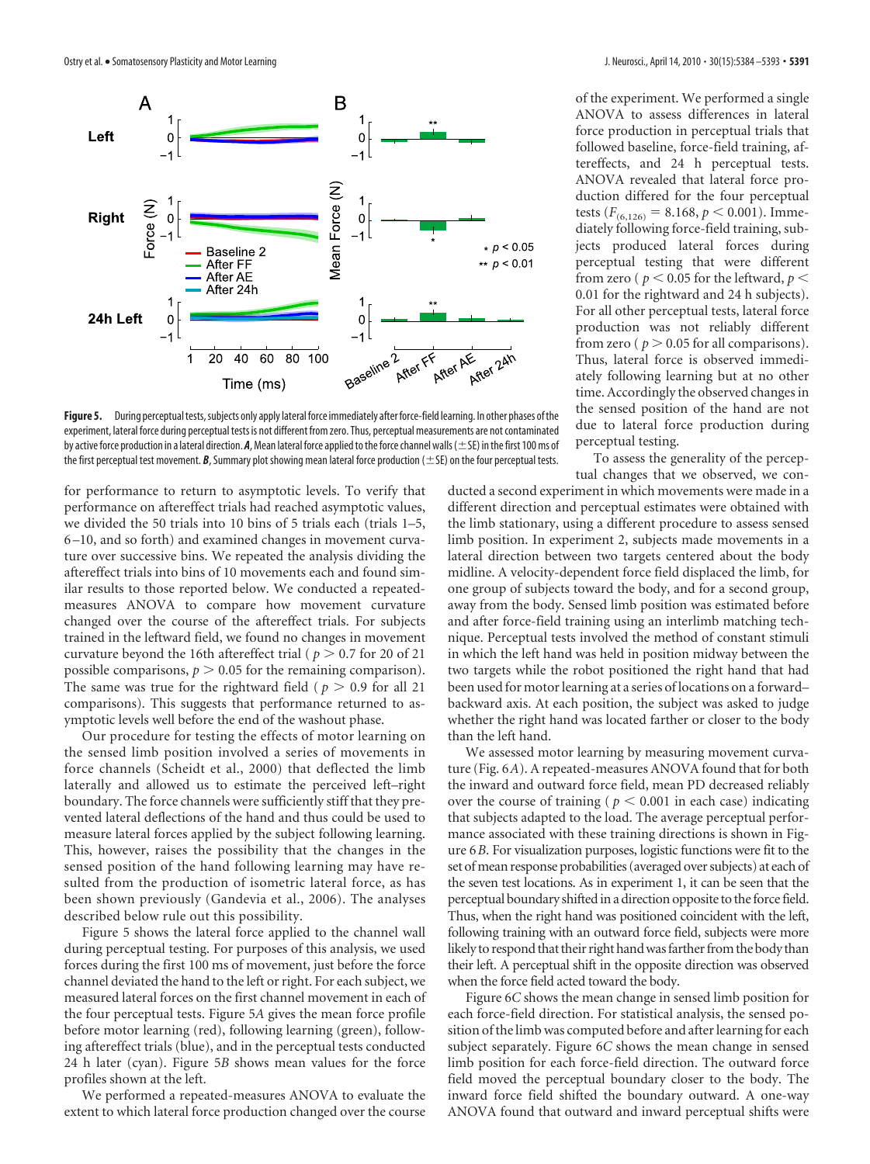

Figure 5. During perceptual tests, subjects only apply lateral force immediately after force-field learning. In other phases of the experiment, lateral force during perceptual tests is not different from zero. Thus, perceptual measurements are not contaminated by active force production in a lateral direction. **A**, Mean lateral force applied to the force channel walls ( $\pm$  SE) in the first 100 ms of the first perceptual test movement. *B*, Summary plot showing mean lateral force production ( $\pm$ SE) on the four perceptual tests.

for performance to return to asymptotic levels. To verify that performance on aftereffect trials had reached asymptotic values, we divided the 50 trials into 10 bins of 5 trials each (trials 1–5, 6 –10, and so forth) and examined changes in movement curvature over successive bins. We repeated the analysis dividing the aftereffect trials into bins of 10 movements each and found similar results to those reported below. We conducted a repeatedmeasures ANOVA to compare how movement curvature changed over the course of the aftereffect trials. For subjects trained in the leftward field, we found no changes in movement curvature beyond the 16th aftereffect trial ( $p > 0.7$  for 20 of 21 possible comparisons,  $p > 0.05$  for the remaining comparison). The same was true for the rightward field ( $p > 0.9$  for all 21 comparisons). This suggests that performance returned to asymptotic levels well before the end of the washout phase.

Our procedure for testing the effects of motor learning on the sensed limb position involved a series of movements in force channels (Scheidt et al., 2000) that deflected the limb laterally and allowed us to estimate the perceived left–right boundary. The force channels were sufficiently stiff that they prevented lateral deflections of the hand and thus could be used to measure lateral forces applied by the subject following learning. This, however, raises the possibility that the changes in the sensed position of the hand following learning may have resulted from the production of isometric lateral force, as has been shown previously (Gandevia et al., 2006). The analyses described below rule out this possibility.

Figure 5 shows the lateral force applied to the channel wall during perceptual testing. For purposes of this analysis, we used forces during the first 100 ms of movement, just before the force channel deviated the hand to the left or right. For each subject, we measured lateral forces on the first channel movement in each of the four perceptual tests. Figure 5*A* gives the mean force profile before motor learning (red), following learning (green), following aftereffect trials (blue), and in the perceptual tests conducted 24 h later (cyan). Figure 5*B* shows mean values for the force profiles shown at the left.

We performed a repeated-measures ANOVA to evaluate the extent to which lateral force production changed over the course

of the experiment. We performed a single ANOVA to assess differences in lateral force production in perceptual trials that followed baseline, force-field training, aftereffects, and 24 h perceptual tests. ANOVA revealed that lateral force production differed for the four perceptual tests ( $F_{(6,126)} = 8.168$ ,  $p < 0.001$ ). Immediately following force-field training, subjects produced lateral forces during perceptual testing that were different from zero ( $p < 0.05$  for the leftward,  $p <$ 0.01 for the rightward and 24 h subjects). For all other perceptual tests, lateral force production was not reliably different from zero ( $p > 0.05$  for all comparisons). Thus, lateral force is observed immediately following learning but at no other time. Accordingly the observed changes in the sensed position of the hand are not due to lateral force production during perceptual testing.

To assess the generality of the perceptual changes that we observed, we con-

ducted a second experiment in which movements were made in a different direction and perceptual estimates were obtained with the limb stationary, using a different procedure to assess sensed limb position. In experiment 2, subjects made movements in a lateral direction between two targets centered about the body midline. A velocity-dependent force field displaced the limb, for one group of subjects toward the body, and for a second group, away from the body. Sensed limb position was estimated before and after force-field training using an interlimb matching technique. Perceptual tests involved the method of constant stimuli in which the left hand was held in position midway between the two targets while the robot positioned the right hand that had been used for motor learning at a series of locations on a forward– backward axis. At each position, the subject was asked to judge whether the right hand was located farther or closer to the body than the left hand.

We assessed motor learning by measuring movement curvature (Fig. 6*A*). A repeated-measures ANOVA found that for both the inward and outward force field, mean PD decreased reliably over the course of training ( $p < 0.001$  in each case) indicating that subjects adapted to the load. The average perceptual performance associated with these training directions is shown in Figure 6*B*. For visualization purposes, logistic functions were fit to the set of mean response probabilities (averaged over subjects) at each of the seven test locations. As in experiment 1, it can be seen that the perceptual boundary shifted in a direction opposite to the force field. Thus, when the right hand was positioned coincident with the left, following training with an outward force field, subjects were more likely to respond that their right hand was farther from the body than their left. A perceptual shift in the opposite direction was observed when the force field acted toward the body.

Figure 6*C* shows the mean change in sensed limb position for each force-field direction. For statistical analysis, the sensed position of the limb was computed before and after learning for each subject separately. Figure 6*C* shows the mean change in sensed limb position for each force-field direction. The outward force field moved the perceptual boundary closer to the body. The inward force field shifted the boundary outward. A one-way ANOVA found that outward and inward perceptual shifts were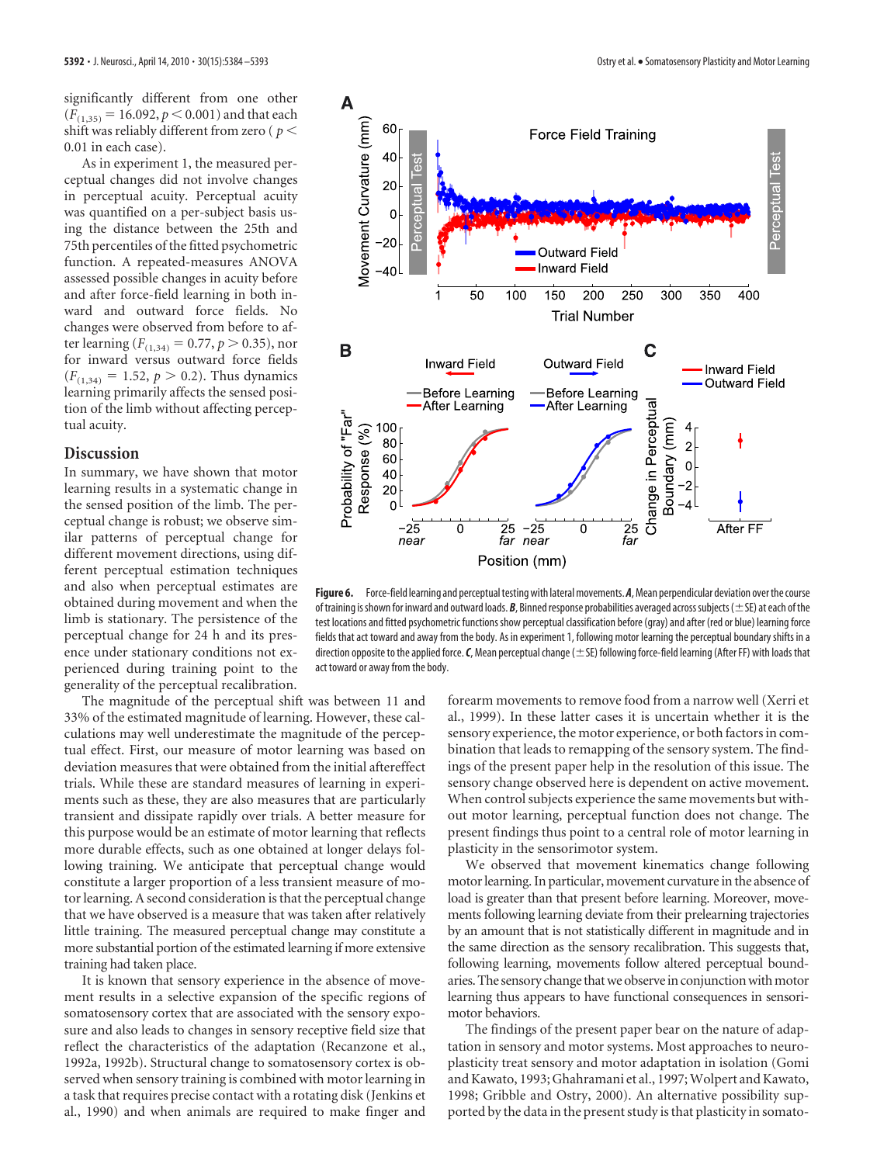significantly different from one other  $(F_{(1,35)} = 16.092, p \le 0.001)$  and that each shift was reliably different from zero ( *p* 0.01 in each case).

As in experiment 1, the measured perceptual changes did not involve changes in perceptual acuity. Perceptual acuity was quantified on a per-subject basis using the distance between the 25th and 75th percentiles of the fitted psychometric function. A repeated-measures ANOVA assessed possible changes in acuity before and after force-field learning in both inward and outward force fields. No changes were observed from before to after learning ( $F_{(1,34)} = 0.77$ ,  $p > 0.35$ ), nor for inward versus outward force fields  $(F_{(1,34)} = 1.52, p > 0.2)$ . Thus dynamics learning primarily affects the sensed position of the limb without affecting perceptual acuity.

### **Discussion**

In summary, we have shown that motor learning results in a systematic change in the sensed position of the limb. The perceptual change is robust; we observe similar patterns of perceptual change for different movement directions, using different perceptual estimation techniques and also when perceptual estimates are obtained during movement and when the limb is stationary. The persistence of the perceptual change for 24 h and its presence under stationary conditions not experienced during training point to the generality of the perceptual recalibration.

The magnitude of the perceptual shift was between 11 and 33% of the estimated magnitude of learning. However, these calculations may well underestimate the magnitude of the perceptual effect. First, our measure of motor learning was based on deviation measures that were obtained from the initial aftereffect trials. While these are standard measures of learning in experiments such as these, they are also measures that are particularly transient and dissipate rapidly over trials. A better measure for this purpose would be an estimate of motor learning that reflects more durable effects, such as one obtained at longer delays following training. We anticipate that perceptual change would constitute a larger proportion of a less transient measure of motor learning. A second consideration is that the perceptual change that we have observed is a measure that was taken after relatively little training. The measured perceptual change may constitute a more substantial portion of the estimated learning if more extensive training had taken place.

It is known that sensory experience in the absence of movement results in a selective expansion of the specific regions of somatosensory cortex that are associated with the sensory exposure and also leads to changes in sensory receptive field size that reflect the characteristics of the adaptation (Recanzone et al., 1992a, 1992b). Structural change to somatosensory cortex is observed when sensory training is combined with motor learning in a task that requires precise contact with a rotating disk (Jenkins et al., 1990) and when animals are required to make finger and



Figure 6. Force-field learning and perceptual testing with lateral movements. A, Mean perpendicular deviation over the course of training is shown for inward and outward loads.  $B$ , Binned response probabilities averaged across subjects ( $\pm$  SE) at each of the test locations and fitted psychometric functions show perceptual classification before (gray) and after (red or blue) learning force fields that act toward and away from the body. As in experiment 1, following motor learning the perceptual boundary shifts in a direction opposite to the applied force. C, Mean perceptual change (±SE) following force-field learning (After FF) with loads that act toward or away from the body.

forearm movements to remove food from a narrow well (Xerri et al., 1999). In these latter cases it is uncertain whether it is the sensory experience, the motor experience, or both factors in combination that leads to remapping of the sensory system. The findings of the present paper help in the resolution of this issue. The sensory change observed here is dependent on active movement. When control subjects experience the same movements but without motor learning, perceptual function does not change. The present findings thus point to a central role of motor learning in plasticity in the sensorimotor system.

We observed that movement kinematics change following motor learning. In particular, movement curvature in the absence of load is greater than that present before learning. Moreover, movements following learning deviate from their prelearning trajectories by an amount that is not statistically different in magnitude and in the same direction as the sensory recalibration. This suggests that, following learning, movements follow altered perceptual boundaries. The sensory change that we observe in conjunction with motor learning thus appears to have functional consequences in sensorimotor behaviors.

The findings of the present paper bear on the nature of adaptation in sensory and motor systems. Most approaches to neuroplasticity treat sensory and motor adaptation in isolation (Gomi and Kawato, 1993; Ghahramani et al., 1997; Wolpert and Kawato, 1998; Gribble and Ostry, 2000). An alternative possibility supported by the data in the present study is that plasticity in somato